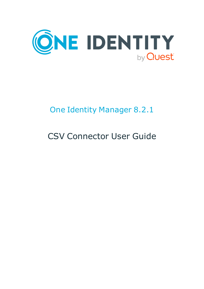

# One Identity Manager 8.2.1

# CSV Connector User Guide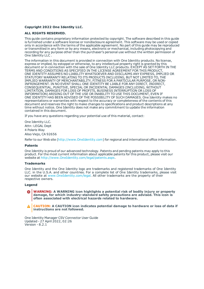#### **Copyright 2022 One Identity LLC.**

#### **ALL RIGHTS RESERVED.**

This guide contains proprietary information protected by copyright. The software described in this guide is furnished under a software license or nondisclosure agreement. This software may be used or copied only in accordance with the terms of the applicable agreement. No part of this guide may be reproduced or transmitted in any form or by any means, electronic or mechanical, including photocopying and recording for any purpose other than the purchaser's personal use without the written permission of One Identity LLC .

The information in this document is provided in connection with One Identity products. No license, express or implied, by estoppel or otherwise, to any intellectual property right is granted by this document or in connection with the sale of One Identity LLC products. EXCEPT AS SET FORTH IN THE TERMS AND CONDITIONS AS SPECIFIED IN THE LICENSE AGREEMENT FOR THIS PRODUCT, ONE IDENTITY ASSUMES NO LIABILITY WHATSOEVER AND DISCLAIMS ANY EXPRESS, IMPLIED OR STATUTORY WARRANTY RELATING TO ITS PRODUCTS INCLUDING, BUT NOT LIMITED TO, THE IMPLIED WARRANTY OF MERCHANTABILITY, FITNESS FOR A PARTICULAR PURPOSE, OR NON-INFRINGEMENT. IN NO EVENT SHALL ONE IDENTITY BE LIABLE FOR ANY DIRECT, INDIRECT, CONSEQUENTIAL, PUNITIVE, SPECIAL OR INCIDENTAL DAMAGES (INCLUDING, WITHOUT LIMITATION, DAMAGES FOR LOSS OF PROFITS, BUSINESS INTERRUPTION OR LOSS OF INFORMATION) ARISING OUT OF THE USE OR INABILITY TO USE THIS DOCUMENT, EVEN IF ONE IDENTITY HAS BEEN ADVISED OF THE POSSIBILITY OF SUCH DAMAGES. One Identity makes no representations or warranties with respect to the accuracy or completeness of the contents of this document and reserves the right to make changes to specifications and product descriptions at any time without notice. One Identity does not make any commitment to update the information contained in this document.

If you have any questions regarding your potential use of this material, contact:

One Identity LLC. Attn: LEGAL Dept 4 Polaris Way Aliso Viejo, CA 92656

Refer to our Web site ([http://www.OneIdentity.com](http://www.oneidentity.com/)) for regional and international office information.

#### **Patents**

One Identity is proud of our advanced technology. Patents and pending patents may apply to this product. For the most current information about applicable patents for this product, please visit our website at [http://www.OneIdentity.com/legal/patents.aspx](http://www.oneidentity.com/legal/patents.aspx).

#### **Trademarks**

One Identity and the One Identity logo are trademarks and registered trademarks of One Identity LLC. in the U.S.A. and other countries. For a complete list of One Identity trademarks, please visit our website at [www.OneIdentity.com/legal](http://www.oneidentity.com/legal). All other trademarks are the property of their respective owners.

#### **Legend**

**WARNING: A WARNING icon highlights a potential risk of bodily injury or property damage, for which industry-standard safety precautions are advised. This icon is often associated with electrical hazards related to hardware.**

**CAUTION: A CAUTION icon indicates potential damage to hardware or loss of data if** A **instructions are not followed.**

One Identity Manager CSV Connector User Guide Updated - 27 April 2022, 02:26 Version - 8.2.1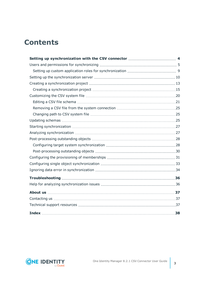### **Contents**

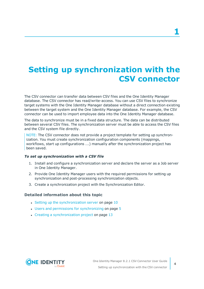# <span id="page-3-0"></span>**Setting up synchronization with the CSV connector**

The CSV connector can transfer data between CSV files and the One Identity Manager database. The CSV connector has read/write-access. You can use CSV files to synchronize target systems with the One Identity Manager database without a direct connection existing between the target system and the One Identity Manager database. For example, the CSV connector can be used to import employee data into the One Identity Manager database.

The data to synchronize must be in a fixed data structure. The data can be distributed between several CSV files. The synchronization server must be able to access the CSV files and the CSV system file directly.

NOTE: The CSV connector does not provide a project template for setting up synchronization. You must create synchronization configuration components (mappings, workflows, start up configurations ...) manually after the synchronization project has been saved.

### *To set up synchronization with a CSV file*

- 1. Install and configure a synchronization server and declare the server as a Job server in One Identity Manager.
- 2. Provide One Identity Manager users with the required permissions for setting up synchronization and post-processing synchronization objects.
- 3. Create a synchronization project with the Synchronization Editor.

### **Detailed information about this topic**

- Setting up the [synchronization](#page-9-0) server on page  $10$
- Users and permissions for [synchronizing](#page-4-0) on page 5
- $\cdot$  Creating a [synchronization](#page-12-0) project on page 13

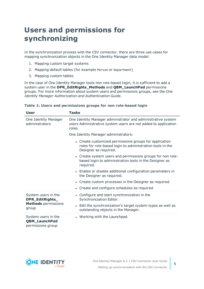# <span id="page-4-0"></span>**Users and permissions for synchronizing**

In the synchronization process with the CSV connector, there are three use cases for mapping synchronization objects in the One Identity Manager data model.

- 1. Mapping custom target systems
- 2. Mapping default tables (for example Person or Department)
- 3. Mapping custom tables

In the case of One Identity Manager tools non role-based login, it is sufficient to add a system user in the **DPR\_EditRights\_Methods** and **QBM\_LaunchPad** permissions groups. For more information about system users and permissions groups, see the *One Identity Manager Authorization and Authentication Guide*.

| <b>User</b>                                                                   | <b>Tasks</b>                                                                                                                                                                  |  |  |  |  |
|-------------------------------------------------------------------------------|-------------------------------------------------------------------------------------------------------------------------------------------------------------------------------|--|--|--|--|
| One Identity Manager<br>administrators                                        | One Identity Manager administrator and administrative system<br>users Administrative system users are not added to application<br>roles.                                      |  |  |  |  |
|                                                                               | One Identity Manager administrators:                                                                                                                                          |  |  |  |  |
|                                                                               | • Create customized permissions groups for application<br>roles for role-based login to administration tools in the<br>Designer as required.                                  |  |  |  |  |
|                                                                               | • Create system users and permissions groups for non role-<br>based login to administration tools in the Designer as<br>required.                                             |  |  |  |  |
|                                                                               | • Enable or disable additional configuration parameters in<br>the Designer as required.                                                                                       |  |  |  |  |
|                                                                               | • Create custom processes in the Designer as required.                                                                                                                        |  |  |  |  |
|                                                                               | • Create and configure schedules as required.                                                                                                                                 |  |  |  |  |
| System users in the<br>DPR_EditRights_<br><b>Methods</b> permissions<br>group | • Configure and start synchronization in the<br>Synchronization Editor.<br>• Edit the synchronization's target system types as well as<br>outstanding objects in the Manager. |  |  |  |  |
| System users in the<br><b>QBM_LaunchPad</b><br>permissions group              | • Working with the Launchpad.                                                                                                                                                 |  |  |  |  |

#### **Table 1: Users and permissions groups for non role-based login**

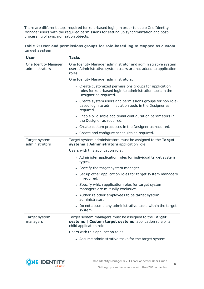There are different steps required for role-based login, in order to equip One Identity Manager users with the required permissions for setting up synchronization and postprocessing of synchronization objects.

|               | Table 2: User and permissions groups for role-based login: Mapped as custom |  |  |  |
|---------------|-----------------------------------------------------------------------------|--|--|--|
| target system |                                                                             |  |  |  |

| <b>User</b>                            | <b>Tasks</b>                                                                                                                                 |
|----------------------------------------|----------------------------------------------------------------------------------------------------------------------------------------------|
| One Identity Manager<br>administrators | One Identity Manager administrator and administrative system<br>users Administrative system users are not added to application<br>roles.     |
|                                        | One Identity Manager administrators:                                                                                                         |
|                                        | • Create customized permissions groups for application<br>roles for role-based login to administration tools in the<br>Designer as required. |
|                                        | • Create system users and permissions groups for non role-<br>based login to administration tools in the Designer as<br>required.            |
|                                        | • Enable or disable additional configuration parameters in<br>the Designer as required.                                                      |
|                                        | • Create custom processes in the Designer as required.                                                                                       |
|                                        | • Create and configure schedules as required.                                                                                                |
| Target system<br>administrators        | Target system administrators must be assigned to the Target<br>systems   Administrators application role.                                    |
|                                        | Users with this application role:                                                                                                            |
|                                        | • Administer application roles for individual target system<br>types.                                                                        |
|                                        | • Specify the target system manager.                                                                                                         |
|                                        | • Set up other application roles for target system managers<br>if required.                                                                  |
|                                        | • Specify which application roles for target system<br>managers are mutually exclusive.                                                      |
|                                        | • Authorize other employees to be target system<br>administrators.                                                                           |
|                                        | • Do not assume any administrative tasks within the target<br>system.                                                                        |
| Target system<br>managers              | Target system managers must be assigned to the Target<br>systems   Custom target systems application role or a<br>child application role.    |
|                                        | Users with this application role:                                                                                                            |
|                                        | • Assume administrative tasks for the target system.                                                                                         |

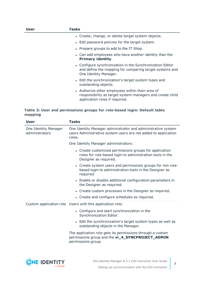| <b>User</b> | Tasks                                                                                                                                           |
|-------------|-------------------------------------------------------------------------------------------------------------------------------------------------|
|             | • Create, change, or delete target system objects.                                                                                              |
|             | • Edit password policies for the target system.                                                                                                 |
|             | • Prepare groups to add to the IT Shop.                                                                                                         |
|             | • Can add employees who have another identity than the<br><b>Primary identity.</b>                                                              |
|             | • Configure synchronization in the Synchronization Editor<br>and define the mapping for comparing target systems and<br>One Identity Manager.   |
|             | • Edit the synchronization's target system types and<br>outstanding objects.                                                                    |
|             | • Authorize other employees within their area of<br>responsibility as target system managers and create child<br>application roles if required. |

### **Table 3: User and permissions groups for role-based login: Default table mapping**

| <b>User</b>                            | <b>Tasks</b>                                                                                                                                 |
|----------------------------------------|----------------------------------------------------------------------------------------------------------------------------------------------|
| One Identity Manager<br>administrators | One Identity Manager administrator and administrative system<br>users Administrative system users are not added to application<br>roles.     |
|                                        | One Identity Manager administrators:                                                                                                         |
|                                        | • Create customized permissions groups for application<br>roles for role-based login to administration tools in the<br>Designer as required. |
|                                        | • Create system users and permissions groups for non role-<br>based login to administration tools in the Designer as<br>required.            |
|                                        | • Enable or disable additional configuration parameters in<br>the Designer as required.                                                      |
|                                        | • Create custom processes in the Designer as required.                                                                                       |
|                                        | • Create and configure schedules as required.                                                                                                |
|                                        | Custom application role Users with this application role:                                                                                    |
|                                        | • Configure and start synchronization in the<br>Synchronization Editor.                                                                      |
|                                        | • Edit the synchronization's target system types as well as<br>outstanding objects in the Manager.                                           |
|                                        | The application role gets its permissions through a custom<br>permissions group and the vi_4_SYNCPROJECT_ADMIN<br>permissions group.         |
|                                        |                                                                                                                                              |
|                                        |                                                                                                                                              |

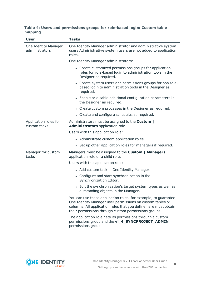### **Table 4: Users and permissions groups for role-based login: Custom table mapping**

| <b>User</b>                            | <b>Tasks</b>                                                                                                                                                                                                                                           |  |  |  |  |
|----------------------------------------|--------------------------------------------------------------------------------------------------------------------------------------------------------------------------------------------------------------------------------------------------------|--|--|--|--|
| One Identity Manager<br>administrators | One Identity Manager administrator and administrative system<br>users Administrative system users are not added to application<br>roles.                                                                                                               |  |  |  |  |
|                                        | One Identity Manager administrators:                                                                                                                                                                                                                   |  |  |  |  |
|                                        | • Create customized permissions groups for application<br>roles for role-based login to administration tools in the<br>Designer as required.                                                                                                           |  |  |  |  |
|                                        | • Create system users and permissions groups for non role-<br>based login to administration tools in the Designer as<br>required.                                                                                                                      |  |  |  |  |
|                                        | • Enable or disable additional configuration parameters in<br>the Designer as required.                                                                                                                                                                |  |  |  |  |
|                                        | • Create custom processes in the Designer as required.                                                                                                                                                                                                 |  |  |  |  |
|                                        | • Create and configure schedules as required.                                                                                                                                                                                                          |  |  |  |  |
| Application roles for<br>custom tasks  | Administrators must be assigned to the <b>Custom</b>  <br>Administrators application role.                                                                                                                                                             |  |  |  |  |
|                                        | Users with this application role:                                                                                                                                                                                                                      |  |  |  |  |
|                                        | • Administrate custom application roles.                                                                                                                                                                                                               |  |  |  |  |
|                                        | • Set up other application roles for managers if required.                                                                                                                                                                                             |  |  |  |  |
| Manager for custom<br>tasks            | Managers must be assigned to the Custom   Managers<br>application role or a child role.                                                                                                                                                                |  |  |  |  |
|                                        | Users with this application role:                                                                                                                                                                                                                      |  |  |  |  |
|                                        | • Add custom task in One Identity Manager.                                                                                                                                                                                                             |  |  |  |  |
|                                        | • Configure and start synchronization in the<br>Synchronization Editor.                                                                                                                                                                                |  |  |  |  |
|                                        | • Edit the synchronization's target system types as well as<br>outstanding objects in the Manager.                                                                                                                                                     |  |  |  |  |
|                                        | You can use these application roles, for example, to guarantee<br>One Identity Manager user permissions on custom tables or<br>columns. All application roles that you define here must obtain<br>their permissions through custom permissions groups. |  |  |  |  |
|                                        | The application role gets its permissions through a custom<br>permissions group and the vi_4_SYNCPROJECT_ADMIN<br>permissions group.                                                                                                                   |  |  |  |  |

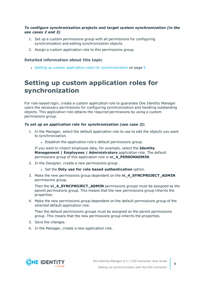### *To configure synchronization projects and target system synchronization (in the use cases 2 and 3)*

- 1. Set up a custom permissions group with all permissions for configuring synchronization and editing synchronization objects.
- 2. Assign a custom application role to this permissions group.

### **Detailed information about this topic**

• Setting up custom application roles for [synchronization](#page-8-0) on page 9

### <span id="page-8-0"></span>**Setting up custom application roles for synchronization**

For role-based login, create a custom application role to guarantee One Identity Manager users the necessary permissions for configuring synchronization and handling outstanding objects. This application role obtains the required permissions by using a custom permissions group.

### *To set up an application role for synchronization (use case 2):*

- 1. In the Manager, select the default application role to use to edit the objects you want to synchronization.
	- Establish the application role's default permissions group.

If you want to import employee data, for example, select the **Identity Management | Employees | Administrators** application role. The default permissions group of this application role is **vi\_4\_PERSONADMIN**.

- 2. In the Designer, create a new permissions group .
	- <sup>l</sup> Set the **Only use for role based authentication** option.
- 3. Make the new permissions group dependent on the **vi\_4\_SYNCPROJECT\_ADMIN** permissions group.

Then the **vi\_4\_SYNCPROJECT\_ADMIN** permissions groups must be assigned as the parent permissions group. This means that the new permissions group inherits the properties.

4. Make the new permissions group dependent on the default permissions group of the selected default application role.

Then the default permissions groups must be assigned as the parent permissions group. This means that the new permissions group inherits the properties.

- 5. Save the changes.
- 6. In the Manager, create a new application role.

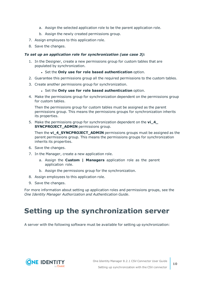- a. Assign the selected application role to be the parent application role.
- b. Assign the newly created permissions group.
- 7. Assign employees to this application role.
- 8. Save the changes.

#### *To set up an application role for synchronization (use case 3):*

- 1. In the Designer, create a new permissions group for custom tables that are populated by synchronization.
	- <sup>l</sup> Set the **Only use for role based authentication** option.
- 2. Guarantee this permissions group all the required permissions to the custom tables.
- 3. Create another permissions group for synchronization.
	- <sup>l</sup> Set the **Only use for role based authentication** option.
- 4. Make the permissions group for synchronization dependent on the permissions group for custom tables.

Then the permissions group for custom tables must be assigned as the parent permissions group. This means the permissions groups for synchronization inherits its properties.

5. Make the permissions group for synchronization dependent on the **vi\_4\_ SYNCPROJECT ADMIN** permissions group.

Then the **vi\_4\_SYNCPROJECT\_ADMIN** permissions groups must be assigned as the parent permissions group. This means the permissions groups for synchronization inherits its properties.

- 6. Save the changes.
- 7. In the Manager, create a new application role.
	- a. Assign the **Custom | Managers** application role as the parent application role.
	- b. Assign the permissions group for the synchronization.
- 8. Assign employees to this application role.
- 9. Save the changes.

For more information about setting up application roles and permissions groups, see the *One Identity Manager Authorization and Authentication Guide*.

# <span id="page-9-0"></span>**Setting up the synchronization server**

A server with the following software must be available for setting up synchronization:

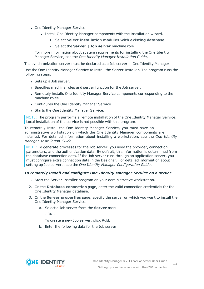- One Identity Manager Service
	- Install One Identity Manager components with the installation wizard.
		- 1. Select **Select installation modules with existing database**.
		- 2. Select the **Server | Job server** machine role.

For more information about system requirements for installing the One Identity Manager Service, see the *One Identity Manager Installation Guide*.

The synchronization server must be declared as a Job server in One Identity Manager.

Use the One Identity Manager Service to install the Server Installer. The program runs the following steps:

- Sets up a Job server.
- Specifies machine roles and server function for the Job server.
- Remotely installs One Identity Manager Service components corresponding to the machine roles.
- Configures the One Identity Manager Service.
- Starts the One Identity Manager Service.

NOTE: The program performs a remote installation of the One Identity Manager Service. Local installation of the service is not possible with this program.

To remotely install the One Identity Manager Service, you must have an administrative workstation on which the One Identity Manager components are installed. For detailed information about installing a workstation, see the *One Identity Manager Installation Guide*.

NOTE: To generate processes for the Job server, you need the provider, connection parameters, and the authentication data. By default, this information is determined from the database connection data. If the Job server runs through an application server, you must configure extra connection data in the Designer. For detailed information about setting up Job servers, see the *One Identity Manager Configuration Guide*.

#### *To remotely install and configure One Identity Manager Service on a server*

- 1. Start the Server Installer program on your administrative workstation.
- 2. On the **Database connection** page, enter the valid connection credentials for the One Identity Manager database.
- 3. On the **Server properties** page, specify the server on which you want to install the One Identity Manager Service.
	- a. Select a Job server from the **Server** menu.

 $- OR -$ 

To create a new Job server, click **Add**.

b. Enter the following data for the Job server.

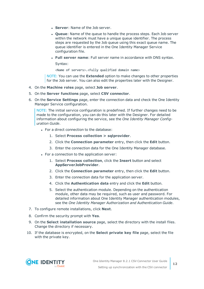- **Server: Name of the Job server.**
- **Queue**: Name of the queue to handle the process steps. Each Job server within the network must have a unique queue identifier. The process steps are requested by the Job queue using this exact queue name. The queue identifier is entered in the One Identity Manager Service configuration file.
- <sup>l</sup> **Full server name**: Full server name in accordance with DNS syntax.

Syntax:

<Name of servers>.<Fully qualified domain name>

NOTE: You can use the **Extended** option to make changes to other properties for the Job server. You can also edit the properties later with the Designer.

- 4. On the **Machine roles** page, select **Job server**.
- 5. On the **Server functions** page, select **CSV connector**.
- 6. On the **Service Settings** page, enter the connection data and check the One Identity Manager Service configuration.

NOTE: The initial service configuration is predefined. If further changes need to be made to the configuration, you can do this later with the Designer. For detailed information about configuring the service, see the *One Identity Manager Configuration Guide*.

- For a direct connection to the database:
	- 1. Select **Process collection > sqlprovider**.
	- 2. Click the **Connection parameter** entry, then click the **Edit** button.
	- 3. Enter the connection data for the One Identity Manager database.
- For a connection to the application server:
	- 1. Select **Process collection**, click the **Insert** button and select **AppServerJobProvider**.
	- 2. Click the **Connection parameter** entry, then click the **Edit** button.
	- 3. Enter the connection data for the application server.
	- 4. Click the **Authentication data** entry and click the **Edit** button.
	- 5. Select the authentication module. Depending on the authentication module, other data may be required, such as user and password. For detailed information about One Identity Manager authentication modules, see the *One Identity Manager Authorization and Authentication Guide*.
- 7. To configure remote installations, click **Next**.
- 8. Confirm the security prompt with **Yes**.
- 9. On the **Select installation source** page, select the directory with the install files. Change the directory if necessary.
- 10. If the database is encrypted, on the **Select private key file** page, select the file with the private key.

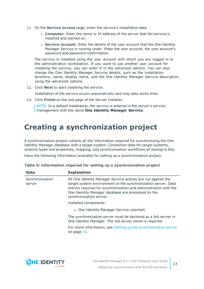- 11. On the **Service access** page, enter the service's installation data.
	- **Computer:** Enter the name or IP address of the server that the service is installed and started on.
	- **. Service account:** Enter the details of the user account that the One Identity Manager Service is running under. Enter the user account, the user account's password and password confirmation.

The service is installed using the user account with which you are logged in to the administrative workstation. If you want to use another user account for installing the service, you can enter it in the advanced options. You can also change the One Identity Manager Service details, such as the installation directory, name, display name, and the One Identity Manager Service description, using the advanced options.

12. Click **Next** to start installing the service.

Installation of the service occurs automatically and may take some time.

13. Click **Finish** on the last page of the Server Installer.

NOTE: In a default installation, the service is entered in the server's service management with the name **One Identity Manager Service**.

# <span id="page-12-0"></span>**Creating a synchronization project**

A synchronization project collects all the information required for synchronizing the One Identity Manager database with a target system. Connection data for target systems, schema types and properties, mapping, and synchronization workflows all belong to this.

Have the following information available for setting up a synchronization project.

| <b>Data</b>               | <b>Explanation</b>                                                                                                                                                                                                                                                                 |
|---------------------------|------------------------------------------------------------------------------------------------------------------------------------------------------------------------------------------------------------------------------------------------------------------------------------|
| Synchronization<br>server | All One Identity Manager Service actions are run against the<br>target system environment on the synchronization server. Data<br>entries required for synchronization and administration with the<br>One Identity Manager database are processed by the<br>synchronization server. |
|                           | Installed components:                                                                                                                                                                                                                                                              |
|                           | • One Identity Manager Service (started)                                                                                                                                                                                                                                           |
|                           | The synchronization server must be declared as a Job server in<br>One Identity Manager. The Job server name is required.                                                                                                                                                           |
|                           | For more information, see Setting up the synchronization server<br>on page 10.                                                                                                                                                                                                     |

|  |  |  |  | Table 5: Information required for setting up a synchronization project |  |
|--|--|--|--|------------------------------------------------------------------------|--|

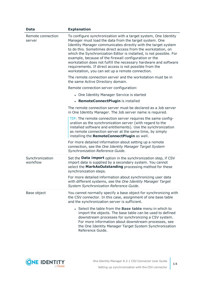| <b>Data</b>                 | <b>Explanation</b>                                                                                                                                                                                                                                                                                                                                                                                                                                                                                                                                                            |
|-----------------------------|-------------------------------------------------------------------------------------------------------------------------------------------------------------------------------------------------------------------------------------------------------------------------------------------------------------------------------------------------------------------------------------------------------------------------------------------------------------------------------------------------------------------------------------------------------------------------------|
| Remote connection<br>server | To configure synchronization with a target system, One Identity<br>Manager must load the data from the target system. One<br>Identity Manager communicates directly with the target system<br>to do this. Sometimes direct access from the workstation, on<br>which the Synchronization Editor is installed, is not possible. For<br>example, because of the firewall configuration or the<br>workstation does not fulfill the necessary hardware and software<br>requirements. If direct access is not possible from the<br>workstation, you can set up a remote connection. |
|                             | The remote connection server and the workstation must be in<br>the same Active Directory domain.                                                                                                                                                                                                                                                                                                                                                                                                                                                                              |
|                             | Remote connection server configuration:                                                                                                                                                                                                                                                                                                                                                                                                                                                                                                                                       |
|                             | • One Identity Manager Service is started                                                                                                                                                                                                                                                                                                                                                                                                                                                                                                                                     |
|                             | • RemoteConnectPlugin is installed                                                                                                                                                                                                                                                                                                                                                                                                                                                                                                                                            |
|                             | The remote connection server must be declared as a Job server<br>in One Identity Manager. The Job server name is required.                                                                                                                                                                                                                                                                                                                                                                                                                                                    |
|                             | TIP: The remote connection server requires the same config-<br>uration as the synchronization server (with regard to the<br>installed software and entitlements). Use the synchronization<br>as remote connection server at the same time, by simply<br>installing the RemoteConnectPlugin as well.                                                                                                                                                                                                                                                                           |
|                             | For more detailed information about setting up a remote<br>connection, see the One Identity Manager Target System<br>Synchronization Reference Guide.                                                                                                                                                                                                                                                                                                                                                                                                                         |
| Synchronization<br>workflow | Set the Data import option in the synchronization step, if CSV<br>import data is supplied by a secondary system. You cannot<br>select the MarkAsOutstanding processing method for these<br>synchronization steps.                                                                                                                                                                                                                                                                                                                                                             |
|                             | For more detailed information about synchronizing user data<br>with different systems, see the One Identity Manager Target<br>System Synchronization Reference Guide.                                                                                                                                                                                                                                                                                                                                                                                                         |
| Base object                 | You cannot normally specify a base object for synchronizing with<br>the CSV connector. In this case, assignment of one base table<br>and the synchronization server is sufficient.                                                                                                                                                                                                                                                                                                                                                                                            |
|                             | • Select the table from the <b>Base table</b> menu in which to<br>import the objects. The base table can be used to defined<br>downstream processes for synchronizing a CSV system.<br>For more information about downstream processes, see<br>the One Identity Manager Target System Synchronization<br>Reference Guide.                                                                                                                                                                                                                                                     |

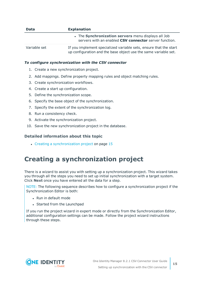| <b>Data</b>  | <b>Explanation</b>                                                                                                                   |
|--------------|--------------------------------------------------------------------------------------------------------------------------------------|
|              | • The Synchronization servers menu displays all Job<br>servers with an enabled CSV connector server function.                        |
| Variable set | If you implement specialized variable sets, ensure that the start<br>up configuration and the base object use the same variable set. |

### *To configure synchronization with the CSV connector*

- 1. Create a new synchronization project.
- 2. Add mappings. Define property mapping rules and object matching rules.
- 3. Create synchronization workflows.
- 4. Create a start up configuration.
- 5. Define the synchronization scope.
- 6. Specify the base object of the synchronization.
- 7. Specify the extent of the synchronization log.
- 8. Run a consistency check.
- 9. Activate the synchronization project.
- 10. Save the new synchronization project in the database.

### **Detailed information about this topic**

 $\cdot$  Creating a [synchronization](#page-14-0) project on page 15

### <span id="page-14-0"></span>**Creating a synchronization project**

There is a wizard to assist you with setting up a synchronization project. This wizard takes you through all the steps you need to set up initial synchronization with a target system. Click **Next** once you have entered all the data for a step.

NOTE: The following sequence describes how to configure a synchronization project if the Synchronization Editor is both:

- . Run in default mode
- Started from the Launchpad

If you run the project wizard in expert mode or directly from the Synchronization Editor, additional configuration settings can be made. Follow the project wizard instructions through these steps.

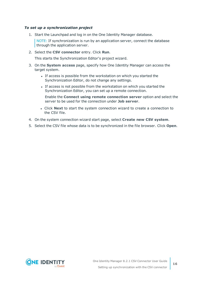#### *To set up a synchronization project*

1. Start the Launchpad and log in on the One Identity Manager database.

NOTE: If synchronization is run by an application server, connect the database through the application server.

2. Select the **CSV connector** entry. Click **Run**.

This starts the Synchronization Editor's project wizard.

- 3. On the **System access** page, specify how One Identity Manager can access the target system.
	- If access is possible from the workstation on which you started the Synchronization Editor, do not change any settings.
	- If access is not possible from the workstation on which you started the Synchronization Editor, you can set up a remote connection.

Enable the **Connect using remote connection server** option and select the server to be used for the connection under **Job server**.

- <sup>l</sup> Click **Next** to start the system connection wizard to create a connection to the CSV file.
- 4. On the system connection wizard start page, select **Create new CSV system**.
- 5. Select the CSV file whose data is to be synchronized in the file browser. Click **Open**.

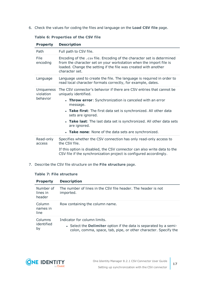6. Check the values for coding the files and language on the **Load CSV file** page.

| <b>Property</b>         | <b>Description</b>                                                                                                                                                                                                                |
|-------------------------|-----------------------------------------------------------------------------------------------------------------------------------------------------------------------------------------------------------------------------------|
| Path                    | Full path to CSV file.                                                                                                                                                                                                            |
| File<br>encoding        | Encoding of the .csv file. Encoding of the character set is determined<br>from the character set on your workstation when the import file is<br>loaded. Change the setting if the file was created with another<br>character set. |
| Language                | Language used to create the file. The language is required in order to<br>read local character formats correctly, for example, dates.                                                                                             |
| Uniqueness<br>violation | The CSV connector's behavior if there are CSV entries that cannot be<br>uniquely identified.                                                                                                                                      |
| behavior                | • Throw error: Synchronization is canceled with an error<br>message.                                                                                                                                                              |
|                         | • Take first: The first data set is synchronized. All other data<br>sets are ignored.                                                                                                                                             |
|                         | • Take last: The last data set is synchronized. All other data sets<br>are ignored.                                                                                                                                               |
|                         | • Take none: None of the data sets are synchronized.                                                                                                                                                                              |
| Read-only<br>access     | Specifies whether the CSV connection has only read-only access to<br>the CSV file.                                                                                                                                                |
|                         | If this option is disabled, the CSV connector can also write data to the<br>CSV file if the synchronization project is configured accordingly.                                                                                    |

### **Table 6: Properties of the CSV file**

7. Describe the CSV file structure on the **File structure** page.

### **Table 7: File structure**

| <b>Property</b>                 | <b>Description</b>                                                                                                                                                   |
|---------------------------------|----------------------------------------------------------------------------------------------------------------------------------------------------------------------|
| Number of<br>lines in<br>header | The number of lines in the CSV file header. The header is not<br>imported.                                                                                           |
| Column<br>names in<br>line      | Row containing the column name.                                                                                                                                      |
| Columns<br>identified<br>by     | Indicator for column limits.<br>• Select the Delimiter option if the data is separated by a semi-<br>colon, comma, space, tab, pipe, or other character. Specify the |



**17**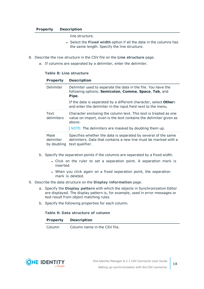#### **Property Description**

line structure.

- **.** Select the **Fixed width** option if all the data in the columns has the same length. Specify the line structure.
- 8. Describe the row structure in the CSV file on the **Line structure** page.
	- a. If columns are separated by a delimiter, enter the delimiter.

### **Table 8: Line structure**

| <b>Property</b>                  | <b>Description</b>                                                                                                                                                                                      |
|----------------------------------|---------------------------------------------------------------------------------------------------------------------------------------------------------------------------------------------------------|
| Delimiter                        | Delimiter used to separate the data in the file. You have the<br>following options: Semicolon, Comma, Space, Tab, and<br>Pipe.                                                                          |
|                                  | If the data is separated by a different character, select <b>Other:</b><br>and enter the delimiter in the input field next to the menu.                                                                 |
| Text<br>delimiters               | Character enclosing the column text. This text is treated as one<br>value on import, even is the text contains the delimiter given as<br>above.<br>NOTE: The delimiters are masked by doubling them up. |
| Mask<br>delimiter<br>by doubling | Specifies whether the data is separated by several of the same<br>delimiters. Data that contains a new line must be marked with a<br>text qualifier.                                                    |

- b. Specify the separation points if the columns are separated by a fixed width.
	- Click on the ruler to set a separation point. A separation mark is inserted.
	- When you click again on a fixed separation point, the separation mark is deleted.
- 9. Describe the data structure on the **Display information** page.
	- a. Specify the **Display pattern** with which the objects in Synchronization Editor are displayed. The display pattern is, for example, used in error messages or test result from object matching rules.
	- b. Specify the following properties for each column.

#### **Table 9: Data structure of column**

Column Column name in the CSV file.

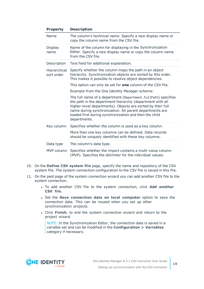| <b>Property</b>            | <b>Description</b>                                                                                                                                                                                                                                                                                                             |  |  |  |  |
|----------------------------|--------------------------------------------------------------------------------------------------------------------------------------------------------------------------------------------------------------------------------------------------------------------------------------------------------------------------------|--|--|--|--|
| Name                       | The column's technical name. Specify a new display name or<br>copy the column name from the CSV file.                                                                                                                                                                                                                          |  |  |  |  |
| Display<br>name            | Name of the column for displaying in the Synchronization<br>Editor. Specify a new display name or copy the column name<br>from the CSV file.                                                                                                                                                                                   |  |  |  |  |
| Description                | Text field for additional explanation.                                                                                                                                                                                                                                                                                         |  |  |  |  |
| Hierarchical<br>sort order | Specify whether the column maps the path in an object<br>hierarchy. Synchronization objects are sorted by this order.<br>This makes it possible to resolve object dependencies.                                                                                                                                                |  |  |  |  |
|                            | This option can only be set for <b>one</b> column of the CSV file.                                                                                                                                                                                                                                                             |  |  |  |  |
|                            | Example from the One Identity Manager scheme:                                                                                                                                                                                                                                                                                  |  |  |  |  |
|                            | The full name of a department (Department.FullPath) specifies<br>the path in the department hierarchy (department with all<br>higher-level departments). Objects are sorted by their full<br>name during synchronization. All parent departments are<br>loaded first during synchronization and then the child<br>departments. |  |  |  |  |
| Key column                 | Specifies whether the column is used as a key column.                                                                                                                                                                                                                                                                          |  |  |  |  |
|                            | More than one key columns can be defined. Data records<br>should be uniquely identified with these key columns.                                                                                                                                                                                                                |  |  |  |  |
| Data type                  | The column's data type.                                                                                                                                                                                                                                                                                                        |  |  |  |  |
| MVP column                 | Specifies whether the import contains a multi-value column<br>(MVP). Specifies the delimiter for the individual values.                                                                                                                                                                                                        |  |  |  |  |

- 10. On the **Define CSV system file** page, specify the name and repository of the CSV system file. The system connection configuration to the CSV file is saved in this file.
- 11. On the past page of the system connection wizard you can add another CSV file to the system connection.
	- <sup>l</sup> To add another CSV file to the system connection, click **Add another CSV file**.
	- <sup>l</sup> Set the **Save connection data on local computer** option to save the connection data. This can be reused when you set up other synchronization projects.
	- <sup>l</sup> Click **Finish**, to end the system connection wizard and return to the project wizard.

NOTE: In the Synchronization Editor, the connection data is saved in a variable set and can be modified in the **Configuration > Variables** category if necessary.

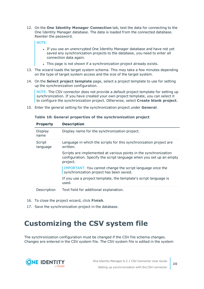12. On the **One Identity Manager Connection** tab, test the data for connecting to the One Identity Manager database. The data is loaded from the connected database. Reenter the password.

NOTE:

- If you use an unencrypted One Identity Manager database and have not yet saved any synchronization projects to the database, you need to enter all connection data again.
- . This page is not shown if a synchronization project already exists.
- 13. The wizard loads the target system schema. This may take a few minutes depending on the type of target system access and the size of the target system.
- 14. On the **Select project template** page, select a project template to use for setting up the synchronization configuration.

NOTE: The CSV connector does not provide a default project template for setting up synchronization. If you have created your own project template, you can select it to configure the synchronization project. Otherwise, select **Create blank project**.

15. Enter the general setting for the synchronization project under **General**.

| <b>Property</b>    | <b>Description</b>                                                                                                                                  |
|--------------------|-----------------------------------------------------------------------------------------------------------------------------------------------------|
| Display<br>name    | Display name for the synchronization project.                                                                                                       |
| Script<br>language | Language in which the scripts for this synchronization project are<br>written.                                                                      |
|                    | Scripts are implemented at various points in the synchronization<br>configuration. Specify the script language when you set up an empty<br>project. |
|                    | IMPORTANT: You cannot change the script language once the<br>synchronization project has been saved.                                                |
|                    | If you use a project template, the template's script language is<br>used.                                                                           |
| Description        | Text field for additional explanation.                                                                                                              |

#### **Table 10: General properties of the synchronization project**

- 16. To close the project wizard, click **Finish**.
- <span id="page-19-0"></span>17. Save the synchronization project in the database.

# **Customizing the CSV system file**

The synchronization configuration must be changed if the CSV file schema changes. Changes are entered in the CSV system file. The CSV system file is edited in the system

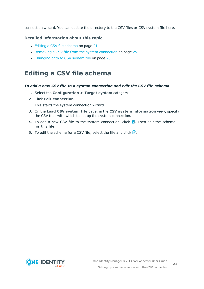connection wizard. You can update the directory to the CSV files or CSV system file here.

### **Detailed information about this topic**

- Editing a CSV file [schema](#page-20-0) on page 21
- Removing a CSV file from the system [connection](#page-24-0) on page 25
- [Changing](#page-24-1) path to CSV system file on page 25

### <span id="page-20-0"></span>**Editing a CSV file schema**

### *To add a new CSV file to a system connection and edit the CSV file schema*

- 1. Select the **Configuration > Target system** category.
- 2. Click **Edit connection**.

This starts the system connection wizard.

- 3. On the **Load CSV system file** page, in the **CSV system information** view, specify the CSV files with which to set up the system connection.
- 4. To add a new CSV file to the system connection, click  $\blacksquare$ . Then edit the schema for this file.
- 5. To edit the schema for a CSV file, select the file and click  $\mathbb Z$ .

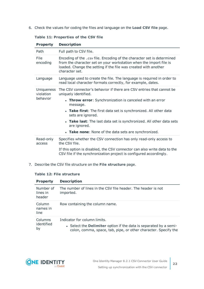6. Check the values for coding the files and language on the **Load CSV file** page.

| Path                                | Full path to CSV file.                                                                                                                                                                                                            |
|-------------------------------------|-----------------------------------------------------------------------------------------------------------------------------------------------------------------------------------------------------------------------------------|
| File<br>encoding                    | Encoding of the .csv file. Encoding of the character set is determined<br>from the character set on your workstation when the import file is<br>loaded. Change the setting if the file was created with another<br>character set. |
| Language                            | Language used to create the file. The language is required in order to<br>read local character formats correctly, for example, dates.                                                                                             |
| Uniqueness<br>violation<br>behavior | The CSV connector's behavior if there are CSV entries that cannot be<br>uniquely identified.                                                                                                                                      |
|                                     | • Throw error: Synchronization is canceled with an error<br>message.                                                                                                                                                              |
|                                     | • Take first: The first data set is synchronized. All other data<br>sets are ignored.                                                                                                                                             |
|                                     | • Take last: The last data set is synchronized. All other data sets<br>are ignored.                                                                                                                                               |
|                                     | • Take none: None of the data sets are synchronized.                                                                                                                                                                              |
| Read-only<br>access                 | Specifies whether the CSV connection has only read-only access to<br>the CSV file.                                                                                                                                                |
|                                     | If this option is disabled, the CSV connector can also write data to the<br>CSV file if the synchronization project is configured accordingly.                                                                                    |

**Table 11: Properties of the CSV file**

**Property Description**

7. Describe the CSV file structure on the **File structure** page.

### **Table 12: File structure**

| <b>Property</b>                 | <b>Description</b>                                                                                                                                                          |
|---------------------------------|-----------------------------------------------------------------------------------------------------------------------------------------------------------------------------|
| Number of<br>lines in<br>header | The number of lines in the CSV file header. The header is not<br>imported.                                                                                                  |
| Column<br>names in<br>line      | Row containing the column name.                                                                                                                                             |
| Columns<br>identified<br>by     | Indicator for column limits.<br>• Select the <b>Delimiter</b> option if the data is separated by a semi-<br>colon, comma, space, tab, pipe, or other character. Specify the |

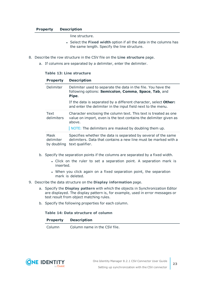#### **Property Description**

line structure.

- **.** Select the **Fixed width** option if all the data in the columns has the same length. Specify the line structure.
- 8. Describe the row structure in the CSV file on the **Line structure** page.
	- a. If columns are separated by a delimiter, enter the delimiter.

#### **Table 13: Line structure**

| <b>Property</b>                  | <b>Description</b>                                                                                                                                                                                      |
|----------------------------------|---------------------------------------------------------------------------------------------------------------------------------------------------------------------------------------------------------|
| Delimiter                        | Delimiter used to separate the data in the file. You have the<br>following options: Semicolon, Comma, Space, Tab, and<br>Pipe.                                                                          |
|                                  | If the data is separated by a different character, select <b>Other:</b><br>and enter the delimiter in the input field next to the menu.                                                                 |
| Text<br>delimiters               | Character enclosing the column text. This text is treated as one<br>value on import, even is the text contains the delimiter given as<br>above.<br>NOTE: The delimiters are masked by doubling them up. |
| Mask<br>delimiter<br>by doubling | Specifies whether the data is separated by several of the same<br>delimiters. Data that contains a new line must be marked with a<br>text qualifier.                                                    |

- b. Specify the separation points if the columns are separated by a fixed width.
	- Click on the ruler to set a separation point. A separation mark is inserted.
	- When you click again on a fixed separation point, the separation mark is deleted.
- 9. Describe the data structure on the **Display information** page.
	- a. Specify the **Display pattern** with which the objects in Synchronization Editor are displayed. The display pattern is, for example, used in error messages or test result from object matching rules.
	- b. Specify the following properties for each column.

#### **Table 14: Data structure of column**

| <b>Property</b> | <b>Description</b> |
|-----------------|--------------------|
|-----------------|--------------------|

Column Column name in the CSV file.

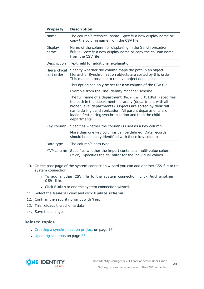| <b>Property</b>            | <b>Description</b>                                                                                                                                                                                                                                                                                                             |  |  |  |  |
|----------------------------|--------------------------------------------------------------------------------------------------------------------------------------------------------------------------------------------------------------------------------------------------------------------------------------------------------------------------------|--|--|--|--|
| Name                       | The column's technical name. Specify a new display name or<br>copy the column name from the CSV file.                                                                                                                                                                                                                          |  |  |  |  |
| Display<br>name            | Name of the column for displaying in the Synchronization<br>Editor. Specify a new display name or copy the column name<br>from the CSV file.                                                                                                                                                                                   |  |  |  |  |
| Description                | Text field for additional explanation.                                                                                                                                                                                                                                                                                         |  |  |  |  |
| Hierarchical<br>sort order | Specify whether the column maps the path in an object<br>hierarchy. Synchronization objects are sorted by this order.<br>This makes it possible to resolve object dependencies.                                                                                                                                                |  |  |  |  |
|                            | This option can only be set for <b>one</b> column of the CSV file.                                                                                                                                                                                                                                                             |  |  |  |  |
|                            | Example from the One Identity Manager scheme:                                                                                                                                                                                                                                                                                  |  |  |  |  |
|                            | The full name of a department (Department.FullPath) specifies<br>the path in the department hierarchy (department with all<br>higher-level departments). Objects are sorted by their full<br>name during synchronization. All parent departments are<br>loaded first during synchronization and then the child<br>departments. |  |  |  |  |
| Key column                 | Specifies whether the column is used as a key column.                                                                                                                                                                                                                                                                          |  |  |  |  |
|                            | More than one key columns can be defined. Data records<br>should be uniquely identified with these key columns.                                                                                                                                                                                                                |  |  |  |  |
| Data type                  | The column's data type.                                                                                                                                                                                                                                                                                                        |  |  |  |  |
| MVP column                 | Specifies whether the import contains a multi-value column<br>(MVP). Specifies the delimiter for the individual values.                                                                                                                                                                                                        |  |  |  |  |

- 10. On the past page of the system connection wizard you can add another CSV file to the system connection.
	- <sup>l</sup> To add another CSV file to the system connection, click **Add another CSV file**.
	- **.** Click Finish to end the system connection wizard.
- 11. Select the **General** view and click **Update schema**.
- 12. Confirm the security prompt with **Yes**.
- 13. This reloads the schema data.
- 14. Save the changes.

### **Related topics**

- Creating a [synchronization](#page-14-0) project on page  $15$
- [Updating](#page-24-2) schemas on page 25

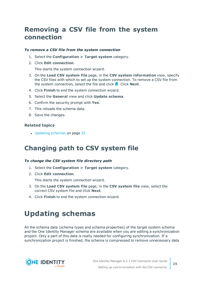### <span id="page-24-0"></span>**Removing a CSV file from the system connection**

#### *To remove a CSV file from the system connection*

- 1. Select the **Configuration > Target system** category.
- 2. Click **Edit connection**.

This starts the system connection wizard.

- 3. On the **Load CSV system file** page, in the **CSV system information** view, specify the CSV files with which to set up the system connection. To remove a CSV file from the system connection, select the file and click **x**. Click **Next**.
- 4. Click **Finish** to end the system connection wizard.
- 5. Select the **General** view and click **Update schema**.
- 6. Confirm the security prompt with **Yes**.
- 7. This reloads the schema data.
- 8. Save the changes.

### **Related topics**

• [Updating](#page-24-2) schemas on page 25

### <span id="page-24-1"></span>**Changing path to CSV system file**

### *To change the CSV system file directory path*

- 1. Select the **Configuration > Target system** category.
- 2. Click **Edit connection**.

This starts the system connection wizard.

- 3. On the **Load CSV system file** page, in the **CSV system file** view, select the correct CSV system file and click **Next**.
- <span id="page-24-2"></span>4. Click **Finish** to end the system connection wizard.

# **Updating schemas**

All the schema data (schema types and schema properties) of the target system schema and the One Identity Manager schema are available when you are editing a synchronization project. Only a part of this data is really needed for configuring synchronization. If a synchronization project is finished, the schema is compressed to remove unnecessary data

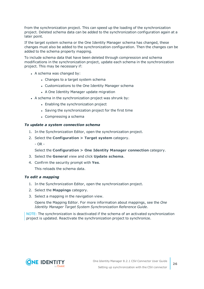from the synchronization project. This can speed up the loading of the synchronization project. Deleted schema data can be added to the synchronization configuration again at a later point.

If the target system schema or the One Identity Manager schema has changed, these changes must also be added to the synchronization configuration. Then the changes can be added to the schema property mapping.

To include schema data that have been deleted through compression and schema modifications in the synchronization project, update each schema in the synchronization project. This may be necessary if:

- $\bullet$  A schema was changed by:
	- Changes to a target system schema
	- Customizations to the One Identity Manager schema
	- A One Identity Manager update migration
- A schema in the synchronization project was shrunk by:
	- Enabling the synchronization project
	- Saving the synchronization project for the first time
	- $\bullet$  Compressing a schema

#### *To update a system connection schema*

- 1. In the Synchronization Editor, open the synchronization project.
- 2. Select the **Configuration > Target system** category.
	- OR -

Select the **Configuration > One Identity Manager connection** category.

- 3. Select the **General** view and click **Update schema**.
- 4. Confirm the security prompt with **Yes**. This reloads the schema data.

#### *To edit a mapping*

- 1. In the Synchronization Editor, open the synchronization project.
- 2. Select the **Mappings** category.
- 3. Select a mapping in the navigation view.

Opens the Mapping Editor. For more information about mappings, see the *One Identity Manager Target System Synchronization Reference Guide*.

NOTE: The synchronization is deactivated if the schema of an activated synchronization project is updated. Reactivate the synchronization project to synchronize.

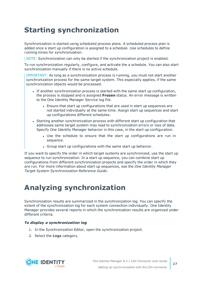# <span id="page-26-0"></span>**Starting synchronization**

Synchronization is started using scheduled process plans. A scheduled process plan is added once a start up configuration is assigned to a schedule. Use schedules to define running times for synchronization.

NOTE: Synchronization can only be started if the synchronization project is enabled.

To run synchronization regularly, configure, and activate the a schedule. You can also start synchronization manually if there is no active schedule.

IMPORTANT: As long as a synchronization process is running, you must not start another synchronization process for the same target system. This especially applies, if the same synchronization objects would be processed.

- If another synchronization process is started with the same start up configuration, the process is stopped and is assigned **Frozen** status. An error message is written to the One Identity Manager Service log file.
	- Ensure that start up configurations that are used in start up sequences are not started individually at the same time. Assign start up sequences and start up configurations different schedules.
- Starting another synchronization process with different start up configuration that addresses same target system may lead to synchronization errors or loss of data. Specify One Identity Manager behavior in this case, in the start up configuration.
	- Use the schedule to ensure that the start up configurations are run in sequence.
	- Group start up configurations with the same start up behavior.

If you want to specify the order in which target systems are synchronized, use the start up sequence to run synchronization. In a start up sequence, you can combine start up configurations from different synchronization projects and specify the order in which they are run. For more information about start up sequences, see the *One Identity Manager Target System Synchronization Reference Guide*.

# <span id="page-26-1"></span>**Analyzing synchronization**

Synchronization results are summarized in the synchronization log. You can specify the extent of the synchronization log for each system connection individually. One Identity Manager provides several reports in which the synchronization results are organized under different criteria.

### *To display a synchronization log*

- 1. In the Synchronization Editor, open the synchronization project.
- 2. Select the **Logs** category.



**27**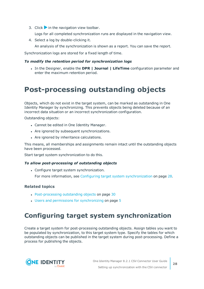3. Click  $\triangleright$  in the navigation view toolbar.

Logs for all completed synchronization runs are displayed in the navigation view.

4. Select a log by double-clicking it.

An analysis of the synchronization is shown as a report. You can save the report.

Synchronization logs are stored for a fixed length of time.

### *To modify the retention period for synchronization logs*

<sup>l</sup> In the Designer, enable the **DPR | Journal | LifeTime** configuration parameter and enter the maximum retention period.

### <span id="page-27-0"></span>**Post-processing outstanding objects**

Objects, which do not exist in the target system, can be marked as outstanding in One Identity Manager by synchronizing. This prevents objects being deleted because of an incorrect data situation or an incorrect synchronization configuration.

Outstanding objects:

- Cannot be edited in One Identity Manager.
- Are ignored by subsequent synchronizations.
- Are ignored by inheritance calculations.

This means, all memberships and assignments remain intact until the outstanding objects have been processed.

Start target system synchronization to do this.

#### *To allow post-processing of outstanding objects*

• Configure target system synchronization.

For more information, see Configuring target system [synchronization](#page-27-1) on page 28.

### **Related topics**

- [Post-processing](#page-29-0) outstanding objects on page 30
- $\cdot$  Users and permissions for [synchronizing](#page-4-0) on page 5

### <span id="page-27-1"></span>**Configuring target system synchronization**

Create a target system for post-processing outstanding objects. Assign tables you want to be populated by synchronization, to this target system type. Specify the tables for which outstanding objects can be published in the target system during post-processing. Define a process for publishing the objects.

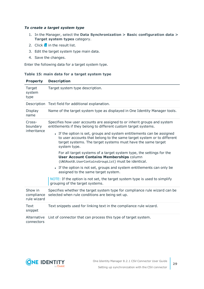### *To create a target system type*

- 1. In the Manager, select the **Data Synchronization > Basic configuration data > Target system types** category.
- 2. Click  $\frac{1}{x}$  in the result list.
- 3. Edit the target system type main data.
- 4. Save the changes.

Enter the following data for a target system type.

#### **Table 15: main data for a target system type**

| <b>Property</b>                      | <b>Description</b>                                                                                                                                                                                                               |  |  |  |  |
|--------------------------------------|----------------------------------------------------------------------------------------------------------------------------------------------------------------------------------------------------------------------------------|--|--|--|--|
| Target<br>system<br>type             | Target system type description.                                                                                                                                                                                                  |  |  |  |  |
|                                      | Description Text field for additional explanation.                                                                                                                                                                               |  |  |  |  |
| Display<br>name                      | Name of the target system type as displayed in One Identity Manager tools.                                                                                                                                                       |  |  |  |  |
| Cross-<br>boundary<br>inheritance    | Specifies how user accounts are assigned to or inherit groups and system<br>entitlements if they belong to different custom target systems.                                                                                      |  |  |  |  |
|                                      | • If the option is set, groups and system entitlements can be assigned<br>to user accounts that belong to the same target system or to different<br>target systems. The target systems must have the same target<br>system type. |  |  |  |  |
|                                      | For all target systems of a target system type, the settings for the<br><b>User Account Contains Memberships column</b><br>(UNSRootB.UserContainsGroupList) must be identical.                                                   |  |  |  |  |
|                                      | • If the option is not set, groups and system entitlements can only be<br>assigned to the same target system.                                                                                                                    |  |  |  |  |
|                                      | NOTE: If the option is not set, the target system type is used to simplify<br>grouping of the target systems.                                                                                                                    |  |  |  |  |
| Show in<br>compliance<br>rule wizard | Specifies whether the target system type for compliance rule wizard can be<br>selected when rule conditions are being set up.                                                                                                    |  |  |  |  |
| Text<br>snippet                      | Text snippets used for linking text in the compliance rule wizard.                                                                                                                                                               |  |  |  |  |
| Alternative<br>connectors            | List of connector that can process this type of target system.                                                                                                                                                                   |  |  |  |  |

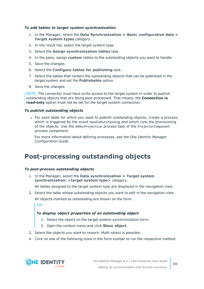### *To add tables to target system synchronization*

- 1. In the Manager, select the **Data Synchronization > Basic configuration data > Target system types** category.
- 2. In the result list, select the target system type.
- 3. Select the **Assign synchronization tables** task.
- 4. In the pane, assign **custom** tables to the outstanding objects you want to handle.
- 5. Save the changes.
- 6. Select the **Configure tables for publishing** task.
- 7. Select the tables that contain the outstanding objects that can be published in the target system and set the **Publishable** option.
- 8. Save the changes.

NOTE: The connector must have write access to the target system in order to publish outstanding objects that are being post-processed. That means, the **Connection is read-only** option must not be set for the target system connection.

#### *To publish outstanding objects*

• For each table for which you want to publish outstanding objects, create a process, which is triggered by the event HandleOutstanding and which runs the provisioning of the objects. Use the AdHocProjection process task of the ProjectorComponent process component.

For more information about defining processes, see the *One Identity Manager Configuration Guide*.

### <span id="page-29-0"></span>**Post-processing outstanding objects**

#### *To post-process outstanding objects*

1. In the Manager, select the **Data synchronization > Target system synchronization: <target system type>** category.

All tables assigned to the target system type are displayed in the navigation view.

2. Select the table whose outstanding objects you want to edit in the navigation view. All objects marked as outstanding are shown on the form.

TIP:

### *To display object properties of an outstanding object*

- 1. Select the object on the target system synchronization form.
- 2. Open the context menu and click **Show object**.
- 3. Select the objects you want to rework. Multi-select is possible.
- 4. Click on one of the following icons in the form toolbar to run the respective method.

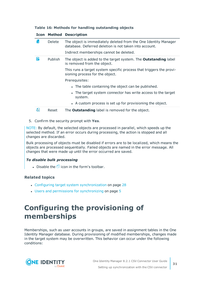|  |  |  |  | Table 16: Methods for handling outstanding objects |  |
|--|--|--|--|----------------------------------------------------|--|
|--|--|--|--|----------------------------------------------------|--|

|    | <b>Icon Method</b> | <b>Description</b>                                                                                                        |
|----|--------------------|---------------------------------------------------------------------------------------------------------------------------|
| ř. | <b>Delete</b>      | The object is immediately deleted from the One Identity Manager<br>database. Deferred deletion is not taken into account. |
|    |                    | Indirect memberships cannot be deleted.                                                                                   |
| Б  | Publish            | The object is added to the target system. The <b>Outstanding</b> label<br>is removed from the object.                     |
|    |                    | This runs a target system specific process that triggers the provi-<br>sioning process for the object.                    |
|    |                    | Prerequisites:                                                                                                            |
|    |                    | • The table containing the object can be published.                                                                       |
|    |                    | • The target system connector has write access to the target<br>system.                                                   |
|    |                    | • A custom process is set up for provisioning the object.                                                                 |
| Æ  | Reset              | The <b>Outstanding</b> label is removed for the object.                                                                   |

5. Confirm the security prompt with **Yes**.

NOTE: By default, the selected objects are processed in parallel, which speeds up the selected method. If an error occurs during processing, the action is stopped and all changes are discarded.

Bulk processing of objects must be disabled if errors are to be localized, which means the objects are processed sequentially. Failed objects are named in the error message. All changes that were made up until the error occurred are saved.

### *To disable bulk processing*

. Disable the  $\mathbb{D}$  icon in the form's toolbar.

### **Related topics**

- Configuring target system [synchronization](#page-27-1) on page 28
- Users and permissions for [synchronizing](#page-4-0) on page 5

### <span id="page-30-0"></span>**Configuring the provisioning of memberships**

Memberships, such as user accounts in groups, are saved in assignment tables in the One Identity Manager database. During provisioning of modified memberships, changes made in the target system may be overwritten. This behavior can occur under the following conditions:

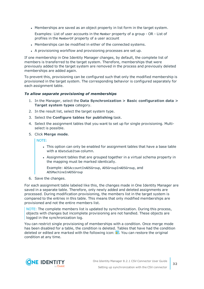• Memberships are saved as an object property in list form in the target system.

Examples: List of user accounts in the Member property of a group - OR - List of profiles in the MemberOf property of a user account

- Memberships can be modified in either of the connected systems.
- A provisioning workflow and provisioning processes are set up.

If one membership in One Identity Manager changes, by default, the complete list of members is transferred to the target system. Therefore, memberships that were previously added to the target system are removed in the process and previously deleted memberships are added again.

To prevent this, provisioning can be configured such that only the modified membership is provisioned in the target system. The corresponding behavior is configured separately for each assignment table.

#### *To allow separate provisioning of memberships*

- 1. In the Manager, select the **Data Synchronization > Basic configuration data > Target system types** category.
- 2. In the result list, select the target system type.
- 3. Select the **Configure tables for publishing** task.
- 4. Select the assignment tables that you want to set up for single provisioning. Multiselect is possible.
- 5. Click **Merge mode**.

NOTE:

- This option can only be enabled for assignment tables that have a base table with a XDateSubItem column.
- Assignment tables that are grouped together in a virtual schema property in the mapping must be marked identically.

Example: ADSAccountInADSGroup, ADSGroupInADSGroup, and ADSMachineInADSGroup

6. Save the changes.

For each assignment table labeled like this, the changes made in One Identity Manager are saved in a separate table. Therefore, only newly added and deleted assignments are processed. During modification provisioning, the members list in the target system is compared to the entries in this table. This means that only modified memberships are provisioned and not the entire members list.

NOTE: The complete members list is updated by synchronization. During this process, objects with changes but incomplete provisioning are not handled. These objects are logged in the synchronization log.

You can restrict single provisioning of memberships with a condition. Once merge mode has been disabled for a table, the condition is deleted. Tables that have had the condition deleted or edited are marked with the following icon:  $\mathbb{E}$ . You can restore the original condition at any time.

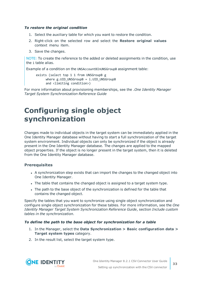### *To restore the original condition*

- 1. Select the auxiliary table for which you want to restore the condition.
- 2. Right-click on the selected row and select the **Restore original values** context menu item.
- 3. Save the changes.

NOTE: To create the reference to the added or deleted assignments in the condition, use the i table alias.

Example of a condition on the UNSAccountBInUNSGroupB assignment table:

```
exists (select top 1 1 from UNSGroupB g
where g.UID UNSGroupB = i.UID UNSGroupB
and <limiting condition>)
```
For more information about provisioning memberships, see the .*One Identity Manager Target System Synchronization Reference Guide*

### <span id="page-32-0"></span>**Configuring single object synchronization**

Changes made to individual objects in the target system can be immediately applied in the One Identity Manager database without having to start a full synchronization of the target system environment. Individual objects can only be synchronized if the object is already present in the One Identity Manager database. The changes are applied to the mapped object properties. If the object is no longer present in the target system, then it is deleted from the One Identity Manager database.

### **Prerequisites**

- A synchronization step exists that can import the changes to the changed object into One Identity Manager.
- The table that contains the changed object is assigned to a target system type.
- The path to the base object of the synchronization is defined for the table that contains the changed object.

Specify the tables that you want to synchronize using single object synchronization and configure single object synchronization for these tables. For more information, see the *One Identity Manager Target System Synchronization Reference Guide*, section *Include custom tables in the synchronization*.

### *To define the path to the base object for synchronization for a table*

- 1. In the Manager, select the **Data Synchronization > Basic configuration data > Target system types** category.
- 2. In the result list, select the target system type.

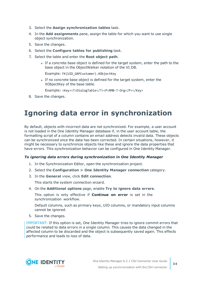- 3. Select the **Assign synchronization tables** task.
- 4. In the **Add assignments** pane, assign the table for which you want to use single object synchronization.
- 5. Save the changes.
- 6. Select the **Configure tables for publishing** task.
- 7. Select the table and enter the **Root object path**.
	- If a concrete base object is defined for the target system, enter the path to the base object in the ObjectWalker notation of the VI.DB.

Example: FK(UID\_GAPCustomer).XObjectKey

If no concrete base object is defined for the target system, enter the XObjectKey of the base table.

Example: <Key><T>DialogTable</T><P>RMB-T-Org</P></Key>

<span id="page-33-0"></span>8. Save the changes.

### **Ignoring data error in synchronization**

By default, objects with incorrect data are not synchronized. For example, a user account is not loaded in the One Identity Manager database if, in the user account table, the formatting script of a column contains an email address detects invalid data. These objects can be synchronized once the data has been corrected. In certain situations, however, it might be necessary to synchronize objects like these and ignore the data properties that have errors. This synchronization behavior can be configured in One Identity Manager.

#### *To ignoring data errors during synchronization in One Identity Manager*

- 1. In the Synchronization Editor, open the synchronization project.
- 2. Select the **Configuration > One Identity Manager connection** category.
- 3. In the **General** view, click **Edit connection**.

This starts the system connection wizard.

4. On the **Additional options** page, enable **Try to ignore data errors**.

This option is only effective if **Continue on error** is set in the synchronization workflow.

Default columns, such as primary keys, UID columns, or mandatory input columns cannot be ignored.

5. Save the changes.

IMPORTANT: If this option is set, One Identity Manager tries to ignore commit errors that could be related to data errors in a single column. This causes the data changed in the affected column to be discarded and the object is subsequently saved again. This effects performance and leads to loss of data.



**34**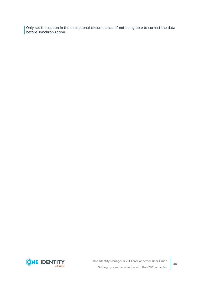Only set this option in the exceptional circumstance of not being able to correct the data before synchronization.

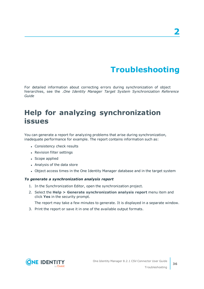# **Troubleshooting**

<span id="page-35-0"></span>For detailed information about correcting errors during synchronization of object hierarchies, see the .*One Identity Manager Target System Synchronization Reference Guide*

# <span id="page-35-1"></span>**Help for analyzing synchronization issues**

You can generate a report for analyzing problems that arise during synchronization, inadequate performance for example. The report contains information such as:

- Consistency check results
- Revision filter settings
- Scope applied
- Analysis of the data store
- Object access times in the One Identity Manager database and in the target system

#### *To generate a synchronization analysis report*

- 1. In the Synchronization Editor, open the synchronization project.
- 2. Select the **Help > Generate synchronization analysis report** menu item and click **Yes** in the security prompt.

The report may take a few minutes to generate. It is displayed in a separate window.

3. Print the report or save it in one of the available output formats.

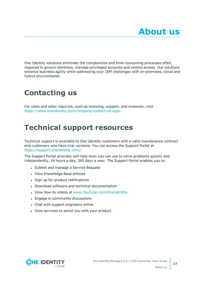<span id="page-36-0"></span>One Identity solutions eliminate the complexities and time-consuming processes often required to govern identities, manage privileged accounts and control access. Our solutions enhance business agility while addressing your IAM challenges with on-premises, cloud and hybrid environments.

# <span id="page-36-1"></span>**Contacting us**

For sales and other inquiries, such as licensing, support, and renewals, visit <https://www.oneidentity.com/company/contact-us.aspx>.

### <span id="page-36-2"></span>**Technical support resources**

Technical support is available to One Identity customers with a valid maintenance contract and customers who have trial versions. You can access the Support Portal at [https://support.oneidentity.com/.](https://support.oneidentity.com/)

The Support Portal provides self-help tools you can use to solve problems quickly and independently, 24 hours a day, 365 days a year. The Support Portal enables you to:

- Submit and manage a Service Request
- View Knowledge Base articles
- Sign up for product notifications
- Download software and technical documentation
- View how-to videos at [www.YouTube.com/OneIdentity](http://www.youtube.com/OneIdentity)
- Engage in community discussions
- Chat with support engineers online
- View services to assist you with your product

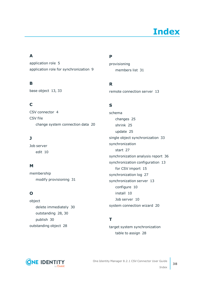# **Index**

### <span id="page-37-0"></span>**A**

application role [5](#page-4-0) application role for synchronization [9](#page-8-0)

### **B**

base object [13](#page-12-0), [33](#page-32-0)

### **C**

CSV connector [4](#page-3-0) CSV file change system connection data [20](#page-19-0)

### **J**

Job server edit [10](#page-9-0)

### **M**

membership modify provisioning [31](#page-30-0)

### **O**

object delete immediately [30](#page-29-0) outstanding [28](#page-27-0), [30](#page-29-0) publish [30](#page-29-0) outstanding object [28](#page-27-0)

### **P**

provisioning members list [31](#page-30-0)

### **R**

remote connection server [13](#page-12-0)

### **S**

schema changes [25](#page-24-2) shrink [25](#page-24-2) update [25](#page-24-2) single object synchronization [33](#page-32-0) synchronization start [27](#page-26-0) synchronization analysis report [36](#page-35-1) synchronization configuration [13](#page-12-0) for CSV import [15](#page-14-0) synchronization log [27](#page-26-1) synchronization server [13](#page-12-0) configure [10](#page-9-0) install [10](#page-9-0) Job server [10](#page-9-0) system connection wizard [20](#page-19-0)

### **T**

target system synchronization table to assign [28](#page-27-1)